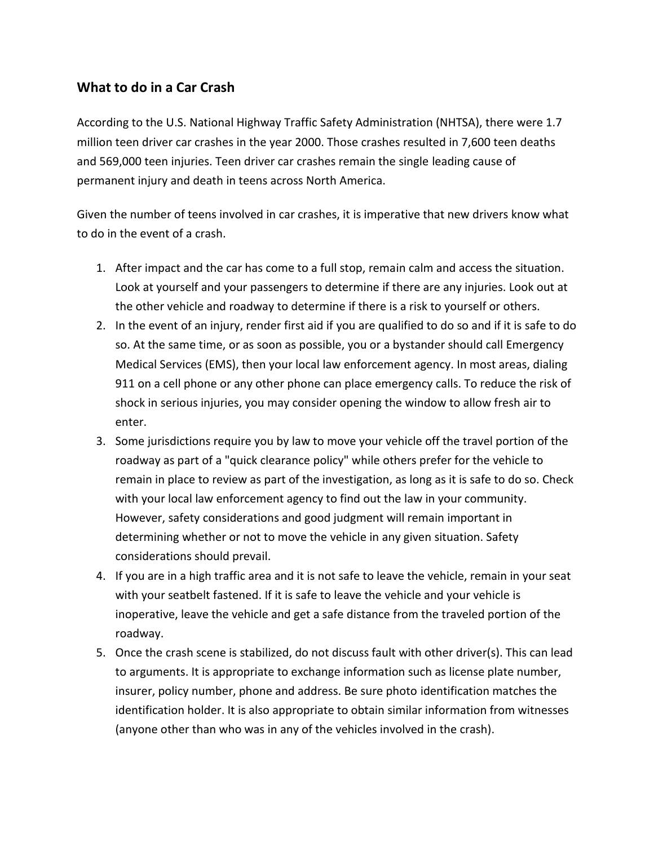## **What to do in a Car Crash**

According to the U.S. National Highway Traffic Safety Administration (NHTSA), there were 1.7 million teen driver car crashes in the year 2000. Those crashes resulted in 7,600 teen deaths and 569,000 teen injuries. Teen driver car crashes remain the single leading cause of permanent injury and death in teens across North America.

Given the number of teens involved in car crashes, it is imperative that new drivers know what to do in the event of a crash.

- 1. After impact and the car has come to a full stop, remain calm and access the situation. Look at yourself and your passengers to determine if there are any injuries. Look out at the other vehicle and roadway to determine if there is a risk to yourself or others.
- 2. In the event of an injury, render first aid if you are qualified to do so and if it is safe to do so. At the same time, or as soon as possible, you or a bystander should call Emergency Medical Services (EMS), then your local law enforcement agency. In most areas, dialing 911 on a cell phone or any other phone can place emergency calls. To reduce the risk of shock in serious injuries, you may consider opening the window to allow fresh air to enter.
- 3. Some jurisdictions require you by law to move your vehicle off the travel portion of the roadway as part of a "quick clearance policy" while others prefer for the vehicle to remain in place to review as part of the investigation, as long as it is safe to do so. Check with your local law enforcement agency to find out the law in your community. However, safety considerations and good judgment will remain important in determining whether or not to move the vehicle in any given situation. Safety considerations should prevail.
- 4. If you are in a high traffic area and it is not safe to leave the vehicle, remain in your seat with your seatbelt fastened. If it is safe to leave the vehicle and your vehicle is inoperative, leave the vehicle and get a safe distance from the traveled portion of the roadway.
- 5. Once the crash scene is stabilized, do not discuss fault with other driver(s). This can lead to arguments. It is appropriate to exchange information such as license plate number, insurer, policy number, phone and address. Be sure photo identification matches the identification holder. It is also appropriate to obtain similar information from witnesses (anyone other than who was in any of the vehicles involved in the crash).